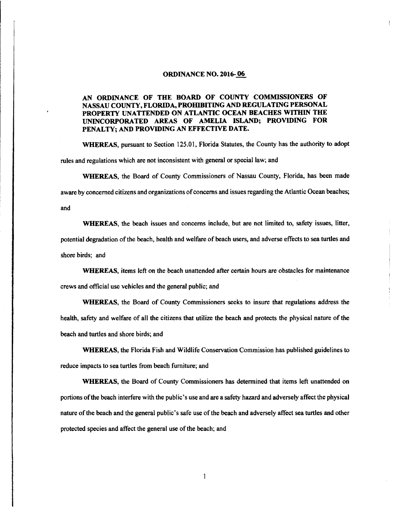### ORDINANCE NO. 2016- 06

AN ORDINANCE OF THE BOARD OF COUNTY COMMISSIONERS OF NASSAU COUNTY, FLORIDA, PROHIBITING AND REGULATING PERSONAL PROPERTY UNATTENDED ON ATLANTIC OCEAN BEACHES WITHIN THE UNINCORPORATED AREAS OF AMELIA ISLAND; PROVIDING FOR PENALTY; AND PROVIDING AN EFFECTIVE DATE.

WHEREAS, pursuant to Section 125.01, Florida Statutes, the County has the authority to adopt rules and regulations which are not inconsistent with general or special law; and

WHEREAS, the Board of County Commissioners of Nassau County, Florida, has been made aware by concerned citizens and organizations of concerns and issues regarding the Atlantic Ocean beaches; and

WHEREAS, the beach issues and concerns include, but are not limited to, safety issues, litter, potential degradation of the beach, health and welfare of beach users, and adverse effects to sea turtles and shore birds; and

WHEREAS, items left on the beach unattended after certain hours are obstacles for maintenance crews and official use vehicles and the general public; and

WHEREAS, the Board of County Commissioners seeks to insure that regulations address the health, safety and welfare of all the citizens that utilize the beach and protects the physical nature of the beach and turtles and shore birds; and

WHEREAS, the Florida Fish and Wildlife Conservation Commission has published guidelines to reduce impacts to sea turtles from beach furniture; and

WHEREAS, the Board of County Commissioners has determined that items left unattended on portions ofthe beach interfere with the public' <sup>s</sup> use and are <sup>a</sup> safety hazard and adversely affect the physical nature of the beach and the general public's safe use of the beach and adversely affect sea turtles and other protected species and affect the general use of the beach; and

1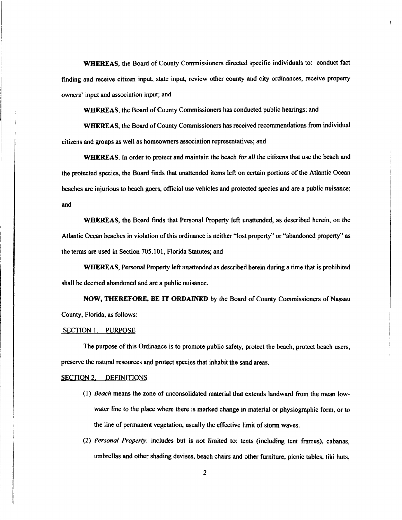WHEREAS, the Board of County Commissioners directed specific individuals to: conduct fact finding and receive citizen input, state input, review other county and city ordinances, receive property owners' input and association input; and

WHEREAS, the Board of County Commissioners has conducted public hearings; and

WHEREAS, the Board of County Commissioners has received recommendations from individual citizens and groups as well as homeowners association representatives; and

WHEREAS. In order to protect and maintain the beach for all the citizens that use the beach and the protected species, the Board finds that unattended items left on certain portions of the Atlantic Ocean beaches are injurious to beach goers, official use vehicles and protected species and are a public nuisance; and

WHEREAS, the Board finds that Personal Property left unattended, as described herein, on the Atlantic Ocean beaches in violation of this ordinance is neither "lost property" or "abandoned property" as the terms are used in Section 705. 101, Florida Statutes; and

WHEREAS, Personal Property left unattended as described herein during a time that is prohibited shall be deemed abandoned and are a public nuisance.

NOW, THEREFORE, BE IT ORDAINED by the Board of County Commissioners of Nassau County, Florida, as follows:

### SECTION 1. PURPOSE

The purpose of this Ordinance is to promote public safety, protect the beach, protect beach users, preserve the natural resources and protect species that inhabit the sand areas.

#### SECTION 2. DEFINITIONS

- 1) Beach means the zone of unconsolidated material that extends landward from the mean lowwater line to the place where there is marked change in material or physiographic form, or to the line of permanent vegetation, usually the effective limit of storm waves.
- 2) Personal Property: includes but is not limited to: tents ( including tent frames), cabanas, umbrellas and other shading devises, beach chairs and other furniture, picnic tables, tiki huts,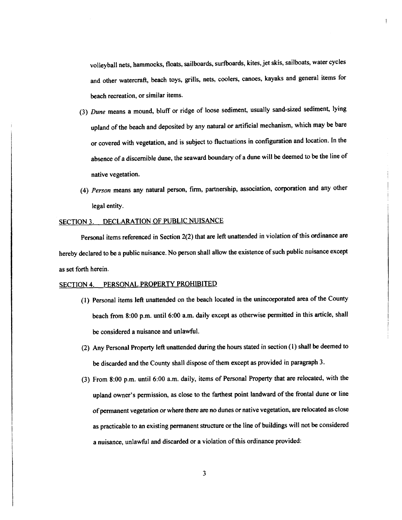volleyball nets, hammocks, floats, sailboards, surfboards, kites, jet skis, sailboats, water cycles and other watercraft, beach toys, grills, nets, coolers, canoes, kayaks and general items for beach recreation, or similar items.

- 3) Dune means <sup>a</sup> mound, bluff or ridge of loose sediment, usually sand-sized sediment, lying upland of the beach and deposited by any natural or artificial mechanism, which may be bare or covered with vegetation, and is subject to fluctuations in configuration and location. In the absence of <sup>a</sup> discernible dune, the seaward boundary of a dune will be deemed to be the line of native vegetation.
- 4) Person means any natural person, firm, partnership, association, corporation and any other legal entity.

# SECTION 3. DECLARATION OF PUBLIC NUISANCE

Personal items referenced in Section 2(2) that are left unattended in violation of this ordinance are hereby declared to be <sup>a</sup> public nuisance. No person shall allow the existence of such public nuisance except as set forth herein.

## SECTION 4. PERSONAL PROPERTY PROHIBITED

- 1) Personal items left unattended on the beach located in the unincorporated area of the County beach from 8:00 p.m. until 6:00 a.m. daily except as otherwise permitted in this article, shall be considered a nuisance and unlawful.
- 2) Any Personal Property left unattended during the hours stated in section( 1) shall be deemed to be discarded and the County shall dispose of them except as provided in paragraph 3.
- 3) From 8: 00 p.m. until 6: 00 a. m. daily, items of Personal Property that are relocated, with the upland owner's permission, as close to the farthest point landward of the frontal dune or line of permanent vegetation or where there are no dunes or native vegetation, are relocated as close as practicable to an existing permanent structure or the line of buildings will not be considered a nuisance, unlawful and discarded or a violation of this ordinance provided: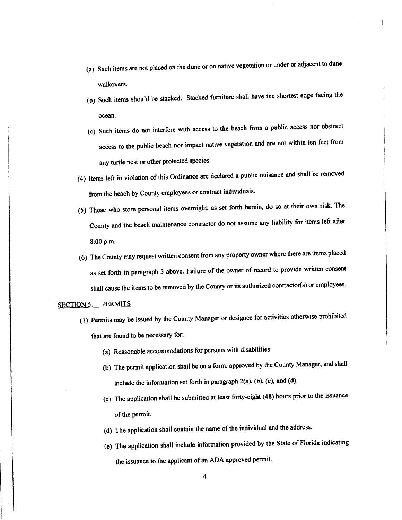- a) Such items are not placed on the dune or on native vegetation or under or adjacent to dune walkovers.
- b) Such items should be stacked. Stacked furniture shall have the shortest edge facing the ocean.
- c) Such items do not interfere with access to the beach from a public access nor obstruct access to the public beach nor impact native vegetation and are not within ten feet from any turtle nest or other protected species.
- 4) Items left in violation of this Ordinance are declared a public nuisance and shall be removed from the beach by County employees or contract individuals.
- 5) Those who store personal items overnight, as set forth herein, do so at their own risk. The County and the beach maintenance contractor do not assume any liability for items left after 8: 00 p.m.
- 6) The County may request written consent from any property owner where there are items placed as set forth in paragraph <sup>3</sup> above. Failure of the owner of record to provide written consent shall cause the items to be removed by the County or its authorized contractor(s) or employees.

# SECTION 5. PERMITS

- 1) Permits may be issued by the County Manager or designee for activities otherwise prohibited that are found to be necessary for:
	- a) Reasonable accommodations for persons with disabilities.
	- b) The permit application shall be on a form, approved by the County Manager, and shall include the information set forth in paragraph  $2(a)$ , (b), (c), and (d).
	- c) The application shall be submitted at least forty-eight( 48) hours prior to the issuance of the permit.
	- d) The application shall contain the name of the individual and the address.
	- e) The application shall include information provided by the State of Florida indicating the issuance to the applicant of an ADA approved permit.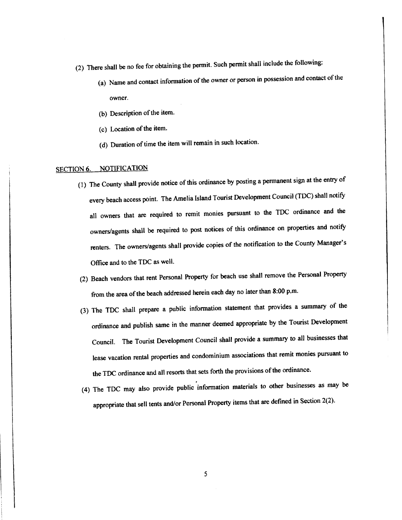- 2) There shall be no fee for obtaining the permit. Such permit shall include the following:
	- (a) Name and contact information of the owner or person in possession and contact of the owner.
	- (b) Description of the item.
	- (c) Location of the item.
	- d) Duration of time the item will remain in such location.

# SECTION 6. NOTIFICATION

- 1) The County shall provide notice of this ordinance by posting <sup>a</sup> permanent sign at the entry of every beach access point. The Amelia Island Tourist Development Council( TDC) shall notify all owners that are required to remit monies pursuant to the TDC ordinance and the owners/agents shall be required to post notices of this ordinance on properties and notify renters. The owners/agents shall provide copies of the notification to the County Manager's Office and to the TDC as well.
- 2) Beach vendors that rent Personal Property for beach use shall remove the Personal Property from the area of the beach addressed herein each day no later than 8:00 p.m.
- 3) The TDC shall prepare <sup>a</sup> public information statement that provides a summary of the ordinance and publish same in the manner deemed appropriate by the Tourist Development Council. The Tourist Development Council shall provide a summary to all businesses that lease vacation rental properties and condominium associations that remit monies pursuant to the TDC ordinance and all resorts that sets forth the provisions of the ordinance.
- 4) The TDC may also provide public information materials to other businesses as may be appropriate that sell tents and/or Personal Property items that are defined in Section 2(2).